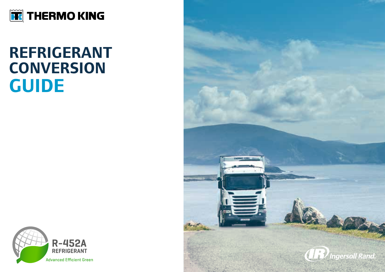

### **REFRIGERANT CONVERSION GUIDE**



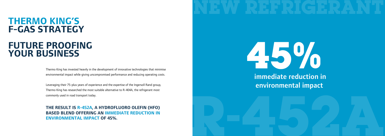### **THERMO KING'S F-GAS STRATEGY**

### **FUTURE PROOFING YOUR BUSINESS**

Thermo King has invested heavily in the development of innovative technologies that minimise environmental impact while giving uncompromised performance and reducing operating costs.

Leveraging their 75-plus years of experience and the expertise of the Ingersoll Rand group, Thermo King has researched the most suitable alternative to R-404A, the refrigerant most commonly used in road transport today.

 **R-452A**





environmental impact

**THE RESULT IS R-452A, A HYDROFLUORO OLEFIN (HFO) BASED BLEND OFFERING AN IMMEDIATE REDUCTION IN ENVIRONMENTAL IMPACT OF 45%.**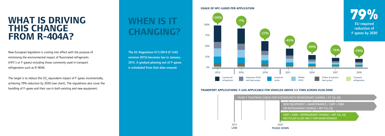EU required reduction of F-gases by 2030

# **THIS CHANGE FROM R-404A?**

New European legislation is coming into effect with the purpose of minimising the environmental impact of fluorinated refrigerants (HFC's or F-gases) including those commonly used in transport refrigeration such as R-404A.

The target is to reduce the CO<sub>2</sub> equivalent impact of F-gases incrementally, achieving 79% reduction by 2030 (see chart). The regulations also cover the handling of F-gases and their use in both existing and new equipment.

## **WHEN IS IT CHANGING?**

The EC Regulation 517/2014 (F-GAS revision 2015) becomes law in January 2015. A gradual phasing out of F-gases is scheduled from that date onward.



#### **TRANSPORT APPLICATIONS: F-GAS APPLICABLE FOR VEHICLES ABOVE 3.5 TONS ACROSS EU28 ZONE**





#### **USAGE OF HFC-GASES PER APPLICATION**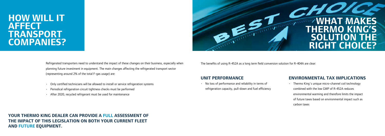Refrigerated transporters need to understand the impact of these changes on their business, especially when planning future investment in equipment. The main changes affecting the refrigerated transport sector (representing around 2% of the total F-gas usage) are:

- Only certified technicians will be allowed to install or service refrigeration systems
- Periodical refrigeration circuit tightness checks must be performed
- After 2020, recycled refrigerant must be used for maintenance

**YOUR THERMO KING DEALER CAN PROVIDE A FULL ASSESSMENT OF THE IMPACT OF THIS LEGISLATION ON BOTH YOUR CURRENT FLEET AND FUTURE EQUIPMENT.**

# **CHOICE THERMO KING'S SOLUTION THE RIGHT CHOICE?**

#### **UNIT PERFORMANCE**

• No loss of performance and reliability in terms of refrigeration capacity, pull-down and fuel efficiency

#### **ENVIRONMENTAL TAX IMPLICATIONS**

• Thermo King´s unique micro-channel coil technology combined with the low GWP of R-452A reduces environmental warming and therefore limits the impact of future taxes based on environmental impact such as carbon taxes

The benefits of using R-452A as a long term field conversion solution for R-404A are clear:

### **HOW WILL IT AFFECT TRANSPORT COMPANIES?**

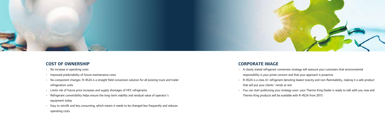

#### **COST OF OWNERSHIP**

- No increase in operating costs
- Improved predictability of future maintenance costs
- No component changes: R-452A is a straight field conversion solution for all existing truck and trailer refrigeration units
- Limits risk of future price increases and supply shortages of HFC refrigerants
- Refrigerant convertibility helps ensure the long-term viability and residual value of operator´s equipment today
- Easy to retrofit and less consuming, which means it needs to be changed less frequently and reduces operating costs

#### **CORPORATE IMAGE**

- A clearly stated refrigerant conversion strategy will reassure your customers that environmental responsibility is your prime concern and that your approach is proactive
- R-452A is a class A1 refrigerant denoting lowest toxicity and non-flammability, making it a safe product that will put your clients´ minds at rest
- You can start publicising your strategy soon: your Thermo King Dealer is ready to talk with you now and Thermo King products will be available with R-452A from 2015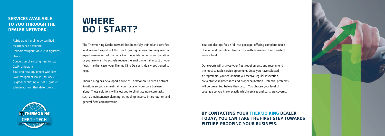### **SERVICES AVAILABLE TO YOU THROUGH THE DEALER NETWORK:**

- Refrigerant handling by certified maintenance personnel
- Periodic refrigeration circuit tightness check
- Conversion of existing fleet to low GWP refrigerant
- Sourcing new equipment with low GWP refrigerant law in January 2015
- A gradual phasing out of F-gases is scheduled from that date forward

### **WHERE DO I START?**

The Thermo King Dealer network has been fully trained and certified in all relevant aspects of the new F-gas regulations. You may need an expert assessment of the impact of the legislation on your operation or you may want to actively reduce the environmental impact of your fleet. In either case, your Thermo King Dealer is ideally positioned to help.

Thermo King has developed a suite of ThermoKare Service Contract Solutions so you can maintain your focus on your core business alone. These solutions will allow you to eliminate non-core tasks such as maintenance planning, scheduling, invoice interpretation and general fleet administration.

You can also opt for an 'all-risk package' offering complete peace of mind and predefined fixed costs, with assurance of a consistent service level.

Our experts will analyse your fleet requirements and recommend the most suitable service agreement. Once you have selected a programme, your equipment will receive regular inspection, preventative maintenance and proper calibration. Potential problems will be prevented before they occur. You choose your level of coverage so you know exactly which services and parts are covered.

**BY CONTACTING YOUR THERMO KING DEALER TODAY, YOU CAN TAKE THE FIRST STEP TOWARDS FUTURE-PROOFING YOUR BUSINESS.**